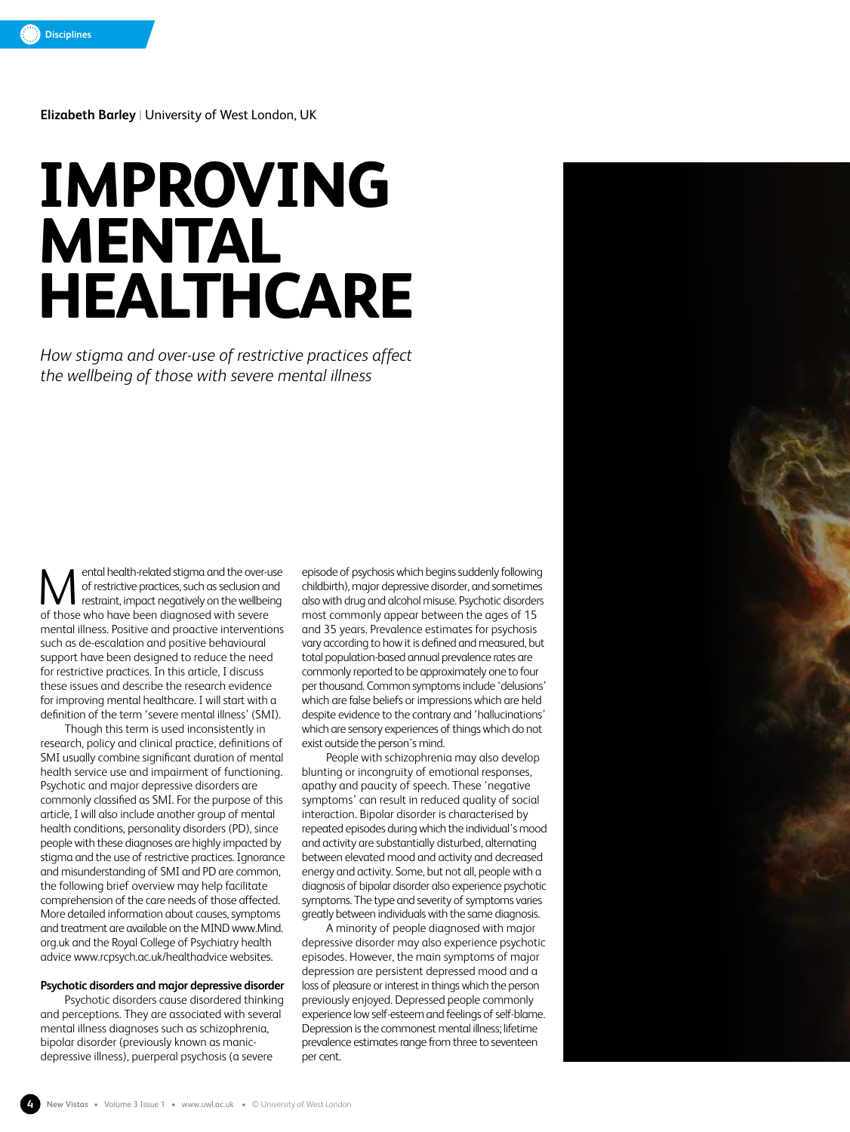**Elizabeth Barley** | University of West London, UK

# **IMPROVING MENTAL HEALTHCARE**

*How stigma and over-use of restrictive practices affect the wellbeing of those with severe mental illness*

ental health-related stigma and the over-use of restrictive practices, such as seclusion and restraint, impact negatively on the wellbeing of those who have been diagnosed with severe mental illness. Positive and proactive interventions such as de-escalation and positive behavioural support have been designed to reduce the need for restrictive practices. In this article, I discuss these issues and describe the research evidence for improving mental healthcare. I will start with a definition of the term 'severe mental illness' (SMI). M ental health-related stigma and the over-use episode of psychosis which begins suddenly following<br>
of restrictive practices, such as seclusion and childbirth), major depressive disorder, and sometimes<br>
restraint, impact

Though this term is used inconsistently in research, policy and clinical practice, definitions of SMI usually combine significant duration of mental health service use and impairment of functioning. Psychotic and major depressive disorders are commonly classified as SMI. For the purpose of this article, I will also include another group of mental health conditions, personality disorders (PD), since people with these diagnoses are highly impacted by stigma and the use of restrictive practices. Ignorance and misunderstanding of SMI and PD are common, the following brief overview may help facilitate comprehension of the care needs of those affected. More detailed information about causes, symptoms and treatment are available on the MIND www.Mind. org.uk and the Royal College of Psychiatry health advice www.rcpsych.ac.uk/healthadvice websites.

# **Psychotic disorders and major depressive disorder**

Psychotic disorders cause disordered thinking and perceptions. They are associated with several mental illness diagnoses such as schizophrenia, bipolar disorder (previously known as manicdepressive illness), puerperal psychosis (a severe

childbirth), major depressive disorder, and sometimes most commonly appear between the ages of 15 and 35 years. Prevalence estimates for psychosis vary according to how it is defined and measured, but total population-based annual prevalence rates are commonly reported to be approximately one to four per thousand. Common symptoms include 'delusions' which are false beliefs or impressions which are held despite evidence to the contrary and 'hallucinations' which are sensory experiences of things which do not exist outside the person's mind.

People with schizophrenia may also develop blunting or incongruity of emotional responses, apathy and paucity of speech. These 'negative symptoms' can result in reduced quality of social interaction. Bipolar disorder is characterised by repeated episodes during which the individual's mood and activity are substantially disturbed, alternating between elevated mood and activity and decreased energy and activity. Some, but not all, people with a diagnosis of bipolar disorder also experience psychotic symptoms. The type and severity of symptoms varies greatly between individuals with the same diagnosis.

A minority of people diagnosed with major depressive disorder may also experience psychotic episodes. However, the main symptoms of major depression are persistent depressed mood and a loss of pleasure or interest in things which the person previously enjoyed. Depressed people commonly experience low self-esteem and feelings of self-blame. Depression is the commonest mental illness; lifetime prevalence estimates range from three to seventeen per cent.

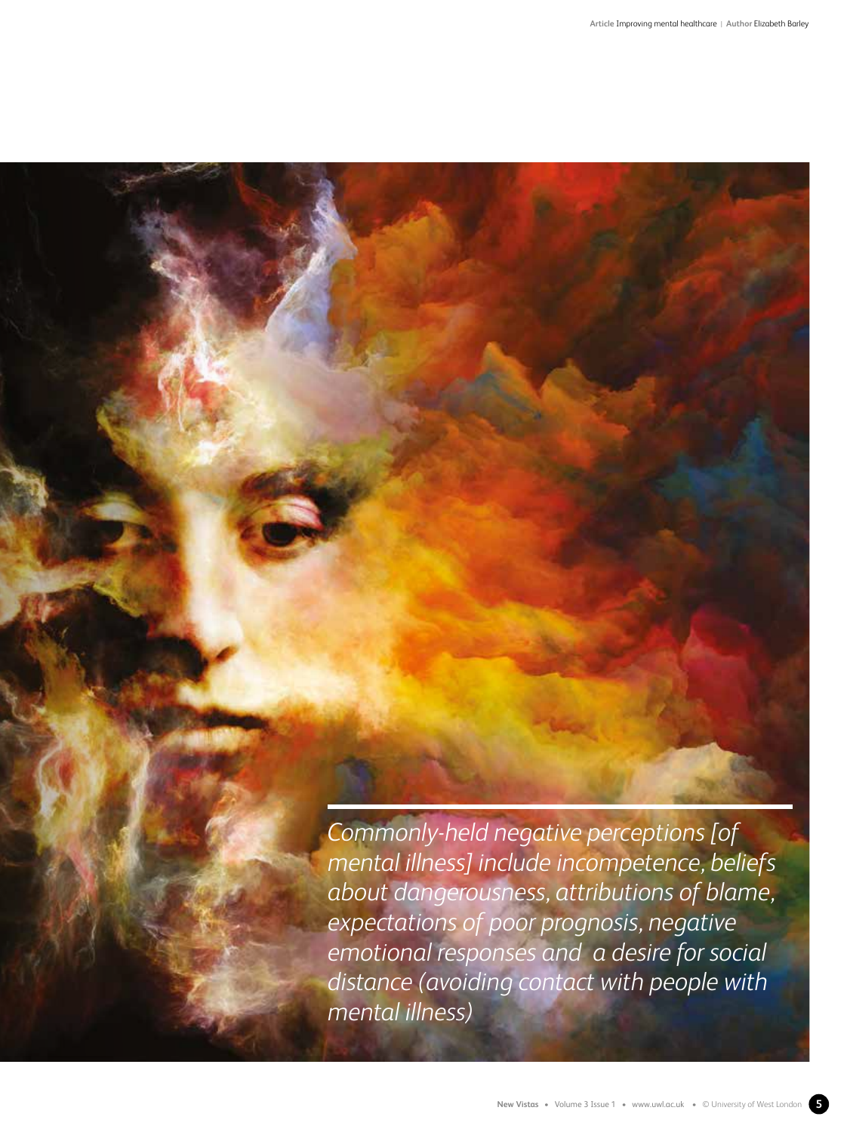*Commonly-held negative perceptions [of mental illness] include incompetence, beliefs about dangerousness, attributions of blame, expectations of poor prognosis, negative emotional responses and a desire for social distance (avoiding contact with people with mental illness)*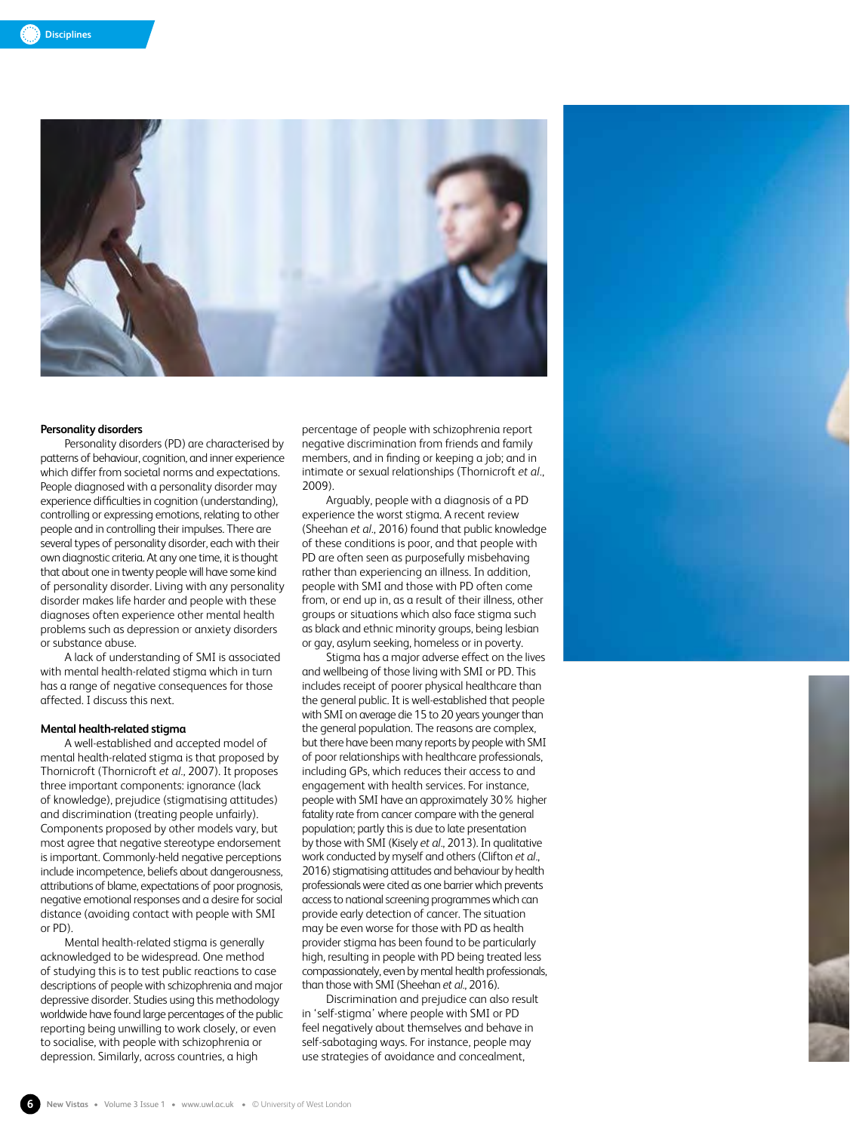

### **Personality disorders**

Personality disorders (PD) are characterised by patterns of behaviour, cognition, and inner experience which differ from societal norms and expectations. People diagnosed with a personality disorder may experience difficulties in cognition (understanding), controlling or expressing emotions, relating to other people and in controlling their impulses. There are several types of personality disorder, each with their own diagnostic criteria. At any one time, it is thought that about one in twenty people will have some kind of personality disorder. Living with any personality disorder makes life harder and people with these diagnoses often experience other mental health problems such as depression or anxiety disorders or substance abuse.

A lack of understanding of SMI is associated with mental health-related stigma which in turn has a range of negative consequences for those affected. I discuss this next.

## **Mental health-related stigma**

A well-established and accepted model of mental health-related stigma is that proposed by Thornicroft (Thornicroft *et al.*, 2007). It proposes three important components: ignorance (lack of knowledge), prejudice (stigmatising attitudes) and discrimination (treating people unfairly). Components proposed by other models vary, but most agree that negative stereotype endorsement is important. Commonly-held negative perceptions include incompetence, beliefs about dangerousness, attributions of blame, expectations of poor prognosis, negative emotional responses and a desire for social distance (avoiding contact with people with SMI or PD).

Mental health-related stigma is generally acknowledged to be widespread. One method of studying this is to test public reactions to case descriptions of people with schizophrenia and major depressive disorder. Studies using this methodology worldwide have found large percentages of the public reporting being unwilling to work closely, or even to socialise, with people with schizophrenia or depression. Similarly, across countries, a high

percentage of people with schizophrenia report negative discrimination from friends and family members, and in finding or keeping a job; and in intimate or sexual relationships (Thornicroft *et al.*, 2009).

Arguably, people with a diagnosis of a PD experience the worst stigma. A recent review (Sheehan *et al.*, 2016) found that public knowledge of these conditions is poor, and that people with PD are often seen as purposefully misbehaving rather than experiencing an illness. In addition, people with SMI and those with PD often come from, or end up in, as a result of their illness, other groups or situations which also face stigma such as black and ethnic minority groups, being lesbian or gay, asylum seeking, homeless or in poverty.

Stigma has a major adverse effect on the lives and wellbeing of those living with SMI or PD. This includes receipt of poorer physical healthcare than the general public. It is well-established that people with SMI on average die 15 to 20 years younger than the general population. The reasons are complex, but there have been many reports by people with SMI of poor relationships with healthcare professionals, including GPs, which reduces their access to and engagement with health services. For instance, people with SMI have an approximately 30% higher fatality rate from cancer compare with the general population; partly this is due to late presentation by those with SMI (Kisely *et al.*, 2013). In qualitative work conducted by myself and others (Clifton *et al.*, 2016) stigmatising attitudes and behaviour by health professionals were cited as one barrier which prevents access to national screening programmes which can provide early detection of cancer. The situation may be even worse for those with PD as health provider stigma has been found to be particularly high, resulting in people with PD being treated less compassionately, even by mental health professionals, than those with SMI (Sheehan *et al.*, 2016).

Discrimination and prejudice can also result in 'self-stigma' where people with SMI or PD feel negatively about themselves and behave in self-sabotaging ways. For instance, people may use strategies of avoidance and concealment,

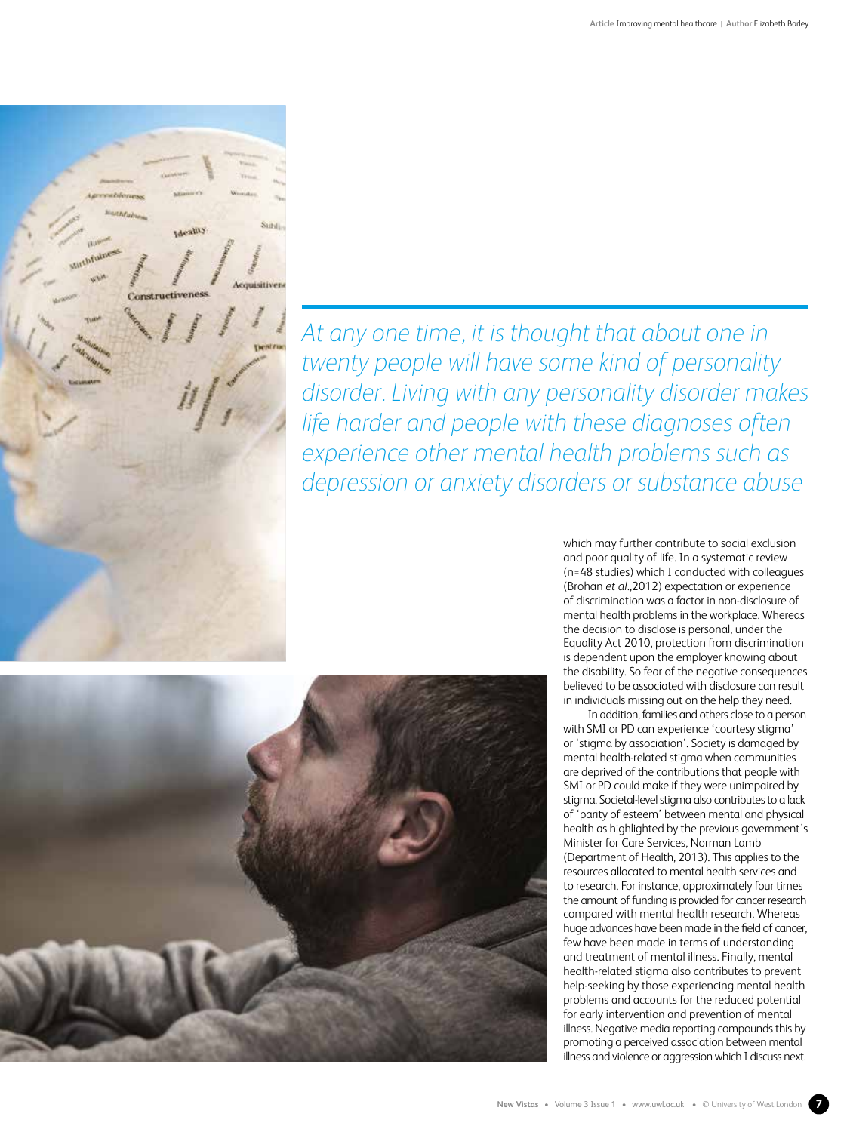

*At any one time, it is thought that about one in twenty people will have some kind of personality disorder. Living with any personality disorder makes life harder and people with these diagnoses often experience other mental health problems such as depression or anxiety disorders or substance abuse*



which may further contribute to social exclusion and poor quality of life. In a systematic review (n=48 studies) which I conducted with colleagues (Brohan *et al.*,2012) expectation or experience of discrimination was a factor in non-disclosure of mental health problems in the workplace. Whereas the decision to disclose is personal, under the Equality Act 2010, protection from discrimination is dependent upon the employer knowing about the disability. So fear of the negative consequences believed to be associated with disclosure can result in individuals missing out on the help they need.

In addition, families and others close to a person with SMI or PD can experience 'courtesy stigma' or 'stigma by association'. Society is damaged by mental health-related stigma when communities are deprived of the contributions that people with SMI or PD could make if they were unimpaired by stigma. Societal-level stigma also contributes to a lack of 'parity of esteem' between mental and physical health as highlighted by the previous government's Minister for Care Services, Norman Lamb (Department of Health, 2013). This applies to the resources allocated to mental health services and to research. For instance, approximately four times the amount of funding is provided for cancer research compared with mental health research. Whereas huge advances have been made in the field of cancer, few have been made in terms of understanding and treatment of mental illness. Finally, mental health-related stigma also contributes to prevent help-seeking by those experiencing mental health problems and accounts for the reduced potential for early intervention and prevention of mental illness. Negative media reporting compounds this by promoting a perceived association between mental illness and violence or aggression which I discuss next.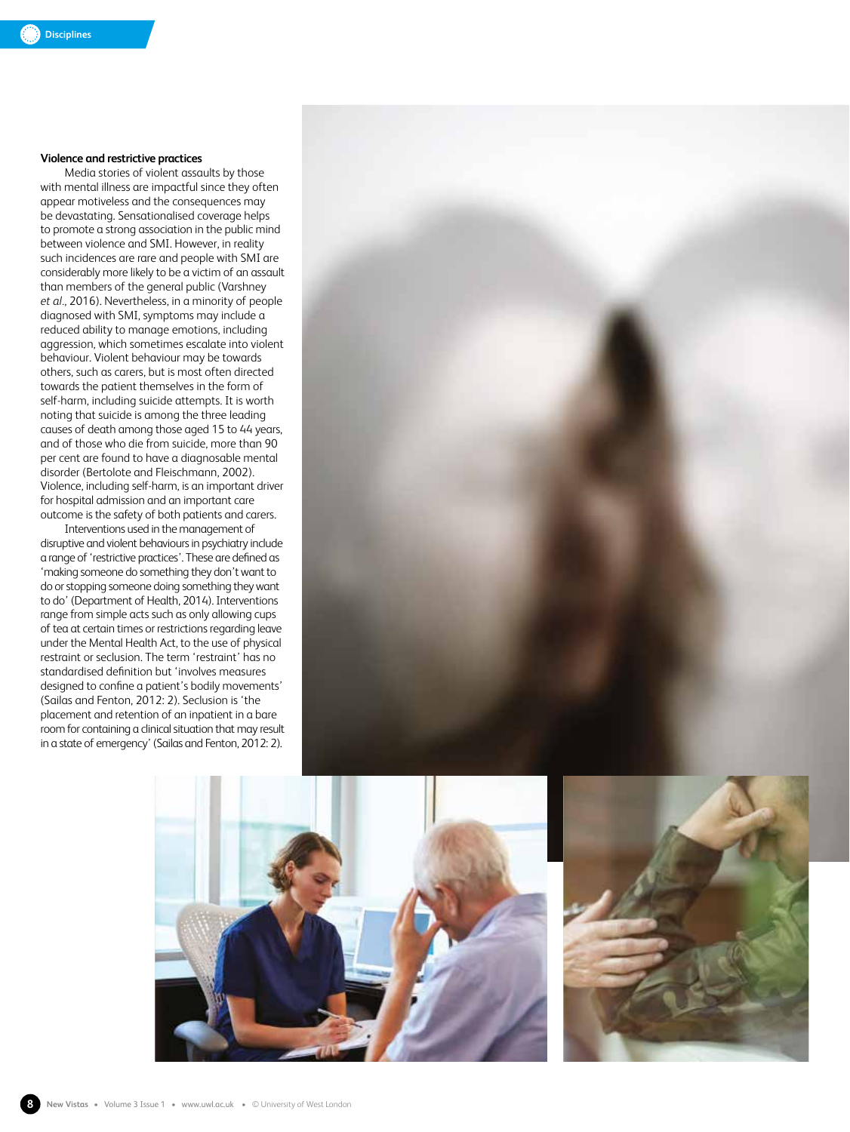# **Violence and restrictive practices**

Media stories of violent assaults by those with mental illness are impactful since they often appear motiveless and the consequences may be devastating. Sensationalised coverage helps to promote a strong association in the public mind between violence and SMI. However, in reality such incidences are rare and people with SMI are considerably more likely to be a victim of an assault than members of the general public (Varshney *et al.*, 2016). Nevertheless, in a minority of people diagnosed with SMI, symptoms may include a reduced ability to manage emotions, including aggression, which sometimes escalate into violent behaviour. Violent behaviour may be towards others, such as carers, but is most often directed towards the patient themselves in the form of self-harm, including suicide attempts. It is worth noting that suicide is among the three leading causes of death among those aged 15 to 44 years, and of those who die from suicide, more than 90 per cent are found to have a diagnosable mental disorder (Bertolote and Fleischmann, 2002). Violence, including self-harm, is an important driver for hospital admission and an important care outcome is the safety of both patients and carers.

Interventions used in the management of disruptive and violent behaviours in psychiatry include a range of 'restrictive practices'. These are defined as 'making someone do something they don't want to do or stopping someone doing something they want to do' (Department of Health, 2014). Interventions range from simple acts such as only allowing cups of tea at certain times or restrictions regarding leave under the Mental Health Act, to the use of physical restraint or seclusion. The term 'restraint' has no standardised definition but 'involves measures designed to confine a patient's bodily movements' (Sailas and Fenton, 2012: 2). Seclusion is 'the placement and retention of an inpatient in a bare room for containing a clinical situation that may result in a state of emergency' (Sailas and Fenton, 2012: 2).





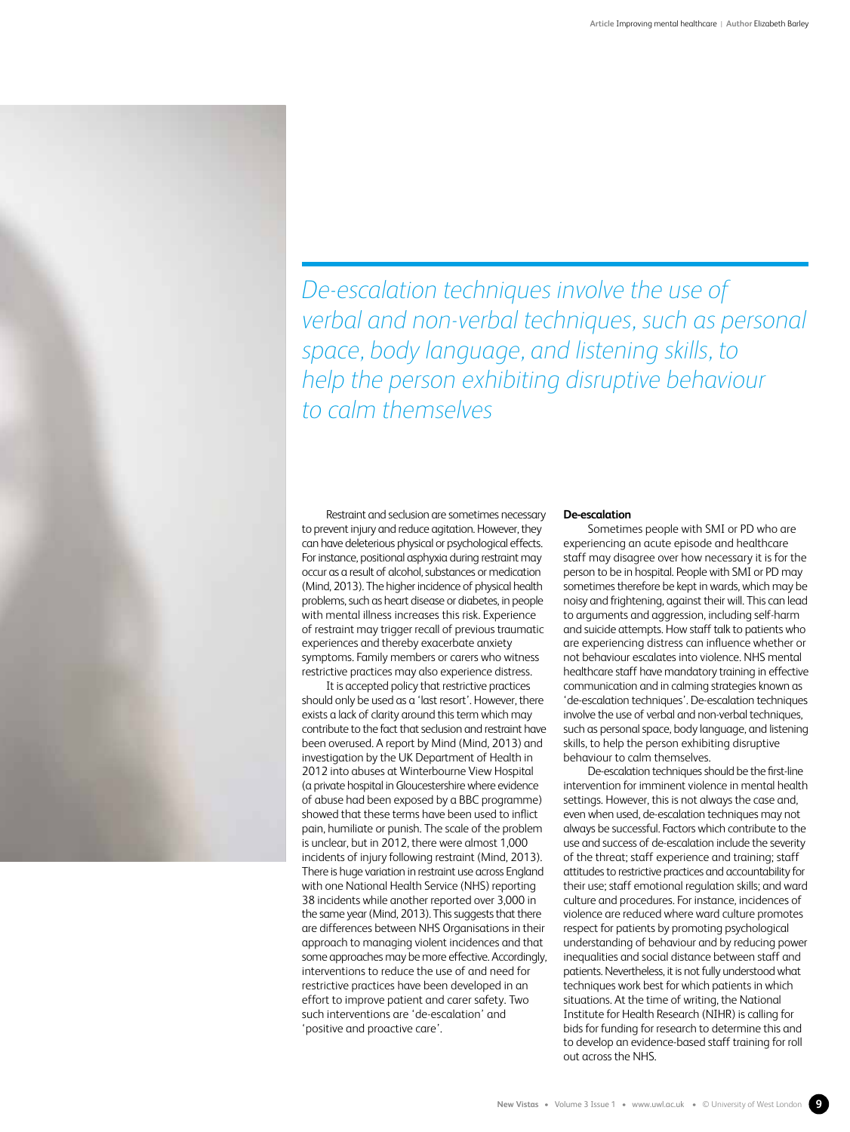*De-escalation techniques involve the use of verbal and non-verbal techniques, such as personal space, body language, and listening skills, to help the person exhibiting disruptive behaviour to calm themselves* 

Restraint and seclusion are sometimes necessary to prevent injury and reduce agitation. However, they can have deleterious physical or psychological effects. For instance, positional asphyxia during restraint may occur as a result of alcohol, substances or medication (Mind, 2013). The higher incidence of physical health problems, such as heart disease or diabetes, in people with mental illness increases this risk. Experience of restraint may trigger recall of previous traumatic experiences and thereby exacerbate anxiety symptoms. Family members or carers who witness restrictive practices may also experience distress.

It is accepted policy that restrictive practices should only be used as a 'last resort'. However, there exists a lack of clarity around this term which may contribute to the fact that seclusion and restraint have been overused. A report by Mind (Mind, 2013) and investigation by the UK Department of Health in 2012 into abuses at Winterbourne View Hospital (a private hospital in Gloucestershire where evidence of abuse had been exposed by a BBC programme) showed that these terms have been used to inflict pain, humiliate or punish. The scale of the problem is unclear, but in 2012, there were almost 1,000 incidents of injury following restraint (Mind, 2013). There is huge variation in restraint use across England with one National Health Service (NHS) reporting 38 incidents while another reported over 3,000 in the same year (Mind, 2013). This suggests that there are differences between NHS Organisations in their approach to managing violent incidences and that some approaches may be more effective. Accordingly, interventions to reduce the use of and need for restrictive practices have been developed in an effort to improve patient and carer safety. Two such interventions are 'de-escalation' and 'positive and proactive care'.

## **De-escalation**

Sometimes people with SMI or PD who are experiencing an acute episode and healthcare staff may disagree over how necessary it is for the person to be in hospital. People with SMI or PD may sometimes therefore be kept in wards, which may be noisy and frightening, against their will. This can lead to arguments and aggression, including self-harm and suicide attempts. How staff talk to patients who are experiencing distress can influence whether or not behaviour escalates into violence. NHS mental healthcare staff have mandatory training in effective communication and in calming strategies known as 'de-escalation techniques'. De-escalation techniques involve the use of verbal and non-verbal techniques, such as personal space, body language, and listening skills, to help the person exhibiting disruptive behaviour to calm themselves.

De-escalation techniques should be the first-line intervention for imminent violence in mental health settings. However, this is not always the case and, even when used, de-escalation techniques may not always be successful. Factors which contribute to the use and success of de-escalation include the severity of the threat; staff experience and training; staff attitudes to restrictive practices and accountability for their use; staff emotional regulation skills; and ward culture and procedures. For instance, incidences of violence are reduced where ward culture promotes respect for patients by promoting psychological understanding of behaviour and by reducing power inequalities and social distance between staff and patients. Nevertheless, it is not fully understood what techniques work best for which patients in which situations. At the time of writing, the National Institute for Health Research (NIHR) is calling for bids for funding for research to determine this and to develop an evidence-based staff training for roll out across the NHS.